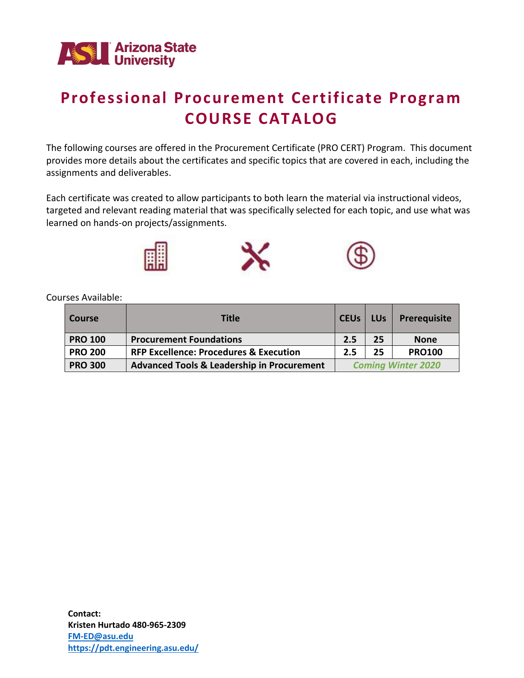

# **Professional Procurement Certificate Program COURSE CATALOG**

The following courses are offered in the Procurement Certificate (PRO CERT) Program. This document provides more details about the certificates and specific topics that are covered in each, including the assignments and deliverables.

Each certificate was created to allow participants to both learn the material via instructional videos, targeted and relevant reading material that was specifically selected for each topic, and use what was learned on hands-on projects/assignments.



Courses Available:

| <b>Course</b>  | <b>Title</b>                                          | <b>CEUs</b>               | <b>LUs</b> | <b>Prerequisite</b> |
|----------------|-------------------------------------------------------|---------------------------|------------|---------------------|
| <b>PRO 100</b> | <b>Procurement Foundations</b>                        | 2.5                       | 25         | <b>None</b>         |
| <b>PRO 200</b> | <b>RFP Excellence: Procedures &amp; Execution</b>     | 2.5                       | 25         | <b>PRO100</b>       |
| <b>PRO 300</b> | <b>Advanced Tools &amp; Leadership in Procurement</b> | <b>Coming Winter 2020</b> |            |                     |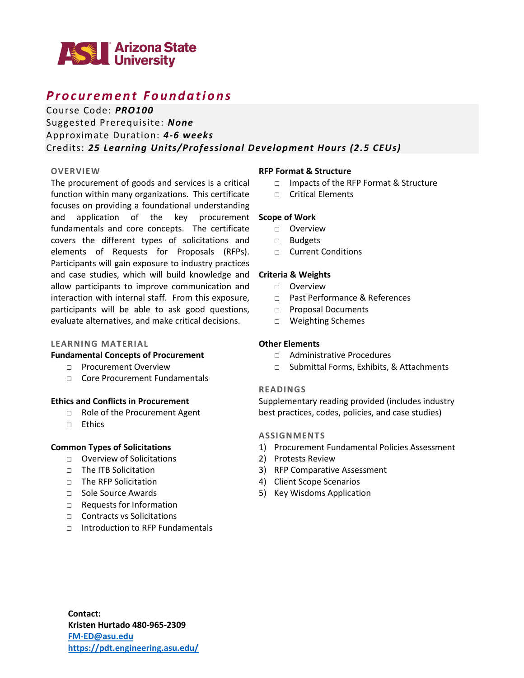

## *P r o c u r e m e n t F o u n d a t i o n s*

Course Code: *PRO100*

Suggested Prerequisite: *None* Approximate Duration: *4-6 weeks* Credits: *25 Learning Units/Professional Development Hours (2.5 CEUs)*

### **OVERVIEW**

The procurement of goods and services is a critical function within many organizations. This certificate focuses on providing a foundational understanding and application of the key procurement **Scope of Work** fundamentals and core concepts. The certificate covers the different types of solicitations and elements of Requests for Proposals (RFPs). Participants will gain exposure to industry practices and case studies, which will build knowledge and **Criteria & Weights** allow participants to improve communication and interaction with internal staff. From this exposure, participants will be able to ask good questions, evaluate alternatives, and make critical decisions.

### **LEARNING MATERIAL**

### **Fundamental Concepts of Procurement**

- □ Procurement Overview
- □ Core Procurement Fundamentals

### **Ethics and Conflicts in Procurement**

- □ Role of the Procurement Agent
- □ Ethics

### **Common Types of Solicitations**

- □ Overview of Solicitations
- □ The ITB Solicitation
- □ The RFP Solicitation
- □ Sole Source Awards
- □ Requests for Information
- □ Contracts vs Solicitations
- □ Introduction to RFP Fundamentals

#### **RFP Format & Structure**

- □ Impacts of the RFP Format & Structure
- □ Critical Elements

- □ Overview
- □ Budgets
- □ Current Conditions

- □ Overview
- □ Past Performance & References
- □ Proposal Documents
- □ Weighting Schemes

### **Other Elements**

- □ Administrative Procedures
- □ Submittal Forms, Exhibits, & Attachments

#### **READINGS**

Supplementary reading provided (includes industry best practices, codes, policies, and case studies)

#### **ASSIGNMENTS**

- 1) Procurement Fundamental Policies Assessment
- 2) Protests Review
- 3) RFP Comparative Assessment
- 4) Client Scope Scenarios
- 5) Key Wisdoms Application